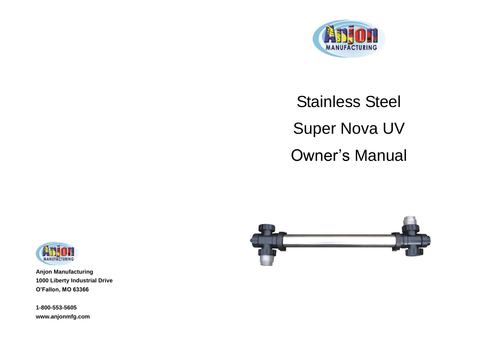

# Stainless Steel Super Nova UV Owner's Manual





**Anjon Manufacturing 1000 Liberty Industrial Drive O'Fallon, MO 63366**

**1-800-553-5605 www.anjonmfg.com**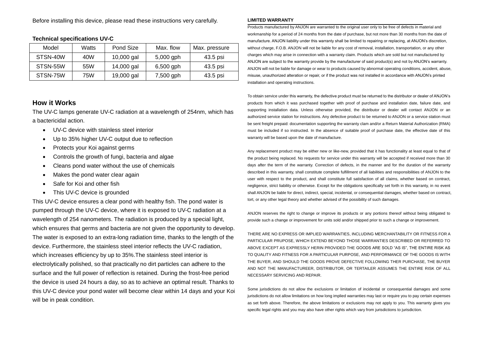Before installing this device, please read these instructions very carefully.

| Model    | Watts | Pond Size  | Max. flow   | Max. pressure |
|----------|-------|------------|-------------|---------------|
| STSN-40W | 40W   | 10,000 gal | $5,000$ gph | 43.5 psi      |
| STSN-55W | 55W   | 14,000 gal | $6,500$ gph | 43.5 psi      |
| STSN-75W | 75W   | 19,000 gal | 7,500 gph   | 43.5 psi      |

#### **Technical specifications UV-C**

#### **How it Works**

The UV-C lamps generate UV-C radiation at a wavelength of 254nm, which has a bactericidal action.

- UV-C device with stainless steel interior
- Up to 35% higher UV-C output due to reflection
- Protects your Koi against germs
- Controls the growth of fungi, bacteria and algae
- Cleans pond water without the use of chemicals
- Makes the pond water clear again
- Safe for Koi and other fish
- This UV-C device is grounded

This UV-C device ensures a clear pond with healthy fish. The pond water is pumped through the UV-C device, where it is exposed to UV-C radiation at a wavelength of 254 nanometers. The radiation is produced by a special light, which ensures that germs and bacteria are not given the opportunity to develop. The water is exposed to an extra-long radiation time, thanks to the length of the device. Furthermore, the stainless steel interior reflects the UV-C radiation, which increases efficiency by up to 35%.The stainless steel interior is electrolytically polished, so that practically no dirt particles can adhere to the surface and the full power of reflection is retained. During the frost-free period the device is used 24 hours a day, so as to achieve an optimal result. Thanks to this UV-C device your pond water will become clear within 14 days and your Koi will be in peak condition.

#### **LIMITED WARRANTY**

Products manufactured by ANJON are warranted to the original user only to be free of defects in material and workmanship for a period of 24 months from the date of purchase, but not more than 30 months from the date of manufacture. ANJON liability under this warranty shall be limited to repairing or replacing, at ANJON's discretion, without charge, F.O.B. ANJON will not be liable for any cost of removal, installation, transportation, or any other charges which may arise in connection with a warranty claim. Products which are sold but not manufactured by ANJON are subject to the warranty provide by the manufacturer of said product(s) and not by ANJON's warranty. ANJON will not be liable for damage or wear to products caused by abnormal operating conditions, accident, abuse, misuse, unauthorized alteration or repair, or if the product was not installed in accordance with ANJON's printed installation and operating instructions.

To obtain service under this warranty, the defective product must be returned to the distributor or dealer of ANJON's products from which it was purchased together with proof of purchase and installation date, failure date, and supporting installation data. Unless otherwise provided, the distributor or dealer will contact ANJON or an authorized service station for instructions. Any defective product to be returned to ANJON or a service station must be sent freight prepaid: documentation supporting the warranty clam and/or a Return Material Authorization (RMA) must be included if so instructed. In the absence of suitable proof of purchase date, the effective date of this warranty will be based upon the date of manufacture.

Any replacement product may be either new or like-new, provided that it has functionality at least equal to that of the product being replaced. No requests for service under this warranty will be accepted if received more than 30 days after the term of the warranty. Correction of defects, in the manner and for the duration of the warranty described in this warranty, shall constitute complete fulfillment of all liabilities and responsibilities of ANJON to the user with respect to the product, and shall constitute full satisfaction of all claims, whether based on contract, negligence, strict liability or otherwise. Except for the obligations specifically set forth in this warranty, in no event shall ANJON be liable for direct, indirect, special, incidental, or consequential damages, whether based on contract, tort, or any other legal theory and whether advised of the possibility of such damages.

ANJON reserves the right to change or improve its products or any portions thereof without being obligated to provide such a change or improvement for units sold and/or shipped prior to such a change or improvement.

THERE ARE NO EXPRESS OR IMPLIED WARRANTIES, INCLUDING MERCHANTABILITY OR FITNESS FOR A PARTICULAR PRUPOSE, WHICH EXTEND BEYOND THOSE WARRANTIES DESCRIBED OR REFERRED TO ABOVE EXCEPT AS EXPRESSLY HERIN PROVIDED THE GOODS ARE SOLD "AS IS", THE ENTIRE RISK AS TO QUALITY AND FITNESS FOR A PARTICULAR PURPOSE, AND PERFORMANCE OF THE GOODS IS WITH THE BUYER, AND SHOULD THE GOODS PROVE DEFECTIVE FOLLOWING THER PURCHASE, THE BUYER AND NOT THE MANUFACTUREER, DISTRIBUTOR, OR TERTAILER ASSUMES THE ENTIRE RISK OF ALL NECESSARY SERVICING AND REPAIR.

Some jurisdictions do not allow the exclusions or limitation of incidental or consequential damages and some jurisdictions do not allow limitations on how long implied warranties may last or require you to pay certain expenses as set forth above. Therefore, the above limitations or exclusions may not apply to you. This warranty gives you specific legal rights and you may also have other rights which vary from jurisdictions to jurisdiction.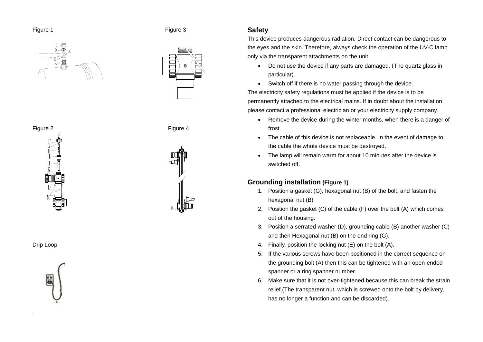





Figure 2 **Figure 4** 



Drip Loop



### **Safety**

This device produces dangerous radiation. Direct contact can be dangerous to the eyes and the skin. Therefore, always check the operation of the UV-C lamp only via the transparent attachments on the unit.

- Do not use the device if any parts are damaged. (The quartz glass in particular).
- Switch off if there is no water passing through the device.

The electricity safety regulations must be applied if the device is to be permanently attached to the electrical mains. If in doubt about the installation please contact a professional electrician or your electricity supply company.

- Remove the device during the winter months, when there is a danger of frost.
- The cable of this device is not replaceable. In the event of damage to the cable the whole device must be destroyed.
- The lamp will remain warm for about 10 minutes after the device is switched off.

# **Grounding installation (Figure 1)**

- 1. Position a gasket (G), hexagonal nut (B) of the bolt, and fasten the hexagonal nut (B)
- 2. Position the gasket (C) of the cable (F) over the bolt (A) which comes out of the housing.
- 3. Position a serrated washer (D), grounding cable (B) another washer (C) and then Hexagonal nut (B) on the end ring (G).
- 4. Finally, position the locking nut (E) on the bolt (A).
- 5. If the various screws have been positioned in the correct sequence on the grounding bolt (A) then this can be tightened with an open-ended spanner or a ring spanner number.
- 6. Make sure that it is not over-tightened because this can break the strain relief.(The transparent nut, which is screwed onto the bolt by delivery, has no longer a function and can be discarded).